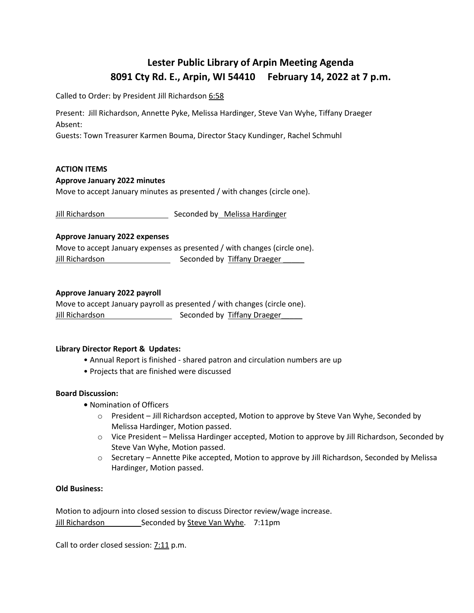# **Lester Public Library of Arpin Meeting Agenda 8091 Cty Rd. E., Arpin, WI 54410 February 14, 2022 at 7 p.m.**

Called to Order: by President Jill Richardson 6:58

Present: Jill Richardson, Annette Pyke, Melissa Hardinger, Steve Van Wyhe, Tiffany Draeger Absent:

Guests: Town Treasurer Karmen Bouma, Director Stacy Kundinger, Rachel Schmuhl

## **ACTION ITEMS**

## **Approve January 2022 minutes**

Move to accept January minutes as presented / with changes (circle one).

Jill Richardson Seconded by Melissa Hardinger

## **Approve January 2022 expenses**

Move to accept January expenses as presented / with changes (circle one). Jill Richardson Seconded by Tiffany Draeger \_\_\_\_\_

# **Approve January 2022 payroll**

Move to accept January payroll as presented / with changes (circle one). Jill Richardson Seconded by Tiffany Draeger

# **Library Director Report & Updates:**

- Annual Report is finished shared patron and circulation numbers are up
- Projects that are finished were discussed

# **Board Discussion:**

- Nomination of Officers
	- o President Jill Richardson accepted, Motion to approve by Steve Van Wyhe, Seconded by Melissa Hardinger, Motion passed.
	- o Vice President Melissa Hardinger accepted, Motion to approve by Jill Richardson, Seconded by Steve Van Wyhe, Motion passed.
	- $\circ$  Secretary Annette Pike accepted, Motion to approve by Jill Richardson, Seconded by Melissa Hardinger, Motion passed.

#### **Old Business:**

Motion to adjourn into closed session to discuss Director review/wage increase. Jill Richardson \_\_\_\_\_\_\_\_\_\_ Seconded by Steve Van Wyhe. 7:11pm

Call to order closed session: 7:11 p.m.